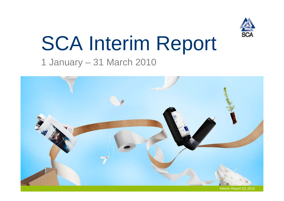

# SCA Interim Report

## 1 January – 31 March 2010

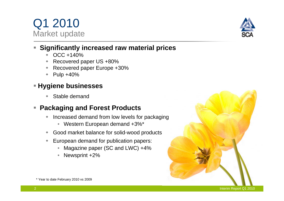\* Year to date February 2010 vs 2009



#### **Significantly increased raw material prices**

- $\begin{matrix} \bullet \\ \bullet \end{matrix}$ OCC +140%
- ٠ Recovered paper US +80%
- ٠ Recovered paper Europe +30%
- ٠ Pulp +40%

#### **Hygiene businesses**

 $\blacklozenge$ Stable demand

#### **Packaging and Forest Products**

- $\blacklozenge$  Increased demand from low levels for packaging
	- $\bullet$ Western European demand +3%\*
- ٠ Good market balance for solid-wood products
- ٠ European demand for publication papers:
	- •Magazine paper (SC and LWC) +4%
	- •Newsprint +2%



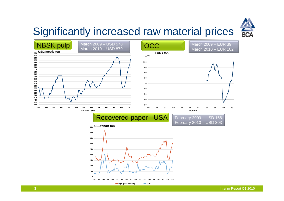

## Significantly increased raw material prices

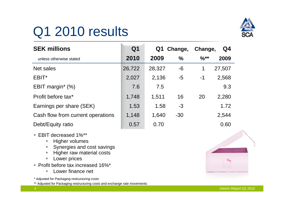# Q1 2010 results



| <b>SEK millions</b>               | Q1     | Change,<br>Q1 |               | Change,<br>Q4 |        |
|-----------------------------------|--------|---------------|---------------|---------------|--------|
| unless otherwise stated           | 2010   | 2009          | $\frac{0}{0}$ | $%$ **        | 2009   |
| Net sales                         | 26,722 | 28,327        | -6            | 1             | 27,507 |
| EBIT*                             | 2,027  | 2,136         | -5            | $-1$          | 2,568  |
| EBIT margin <sup>*</sup> $(\%)$   | 7.6    | 7.5           |               |               | 9.3    |
| Profit before tax*                | 1,748  | 1,511         | 16            | 20            | 2,280  |
| Earnings per share (SEK)          | 1.53   | 1.58          | $-3$          |               | 1.72   |
| Cash flow from current operations | 1,148  | 1,640         | $-30$         |               | 2,544  |
| Debt/Equity ratio                 | 0.57   | 0.70          |               |               | 0.60   |

- EBIT decreased 1%\*\*
	- $\overline{\phantom{a}}$ Higher volumes
	- $\overline{\phantom{a}}$ Synergies and cost savings
	- $\mathcal{L}_{\mathcal{A}}$ Higher raw material costs
	- $\Box$ Lower prices
- Profit before tax increased 16%\*
	- **Lower finance net**

\* Adjusted for Packaging restructuring costs

\*\* Adjusted for Packaging restructuring costs and exchange rate movements

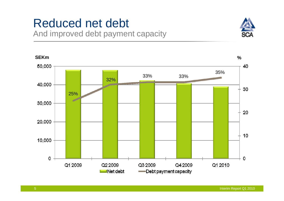# Reduced net debt

And improved debt payment capacity



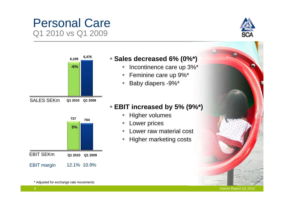#### Interim Report Q1 2010





#### **Sales decreased 6% (0%\*)**

- Incontinence care up 3%\*
- $\blacklozenge$ Feminine care up 9%\*
- $\blacklozenge$ Baby diapers -9%\*

#### **EBIT increased by 5% (9%\*)**

- $\blacklozenge$ Higher volumes
- $\bullet$ Lower prices
- $\blacklozenge$ Lower raw material cost
- $\blacklozenge$ Higher marketing costs

12.1% 10.9% **5%**EBIT SEKm**704 <sup>737</sup>** EBIT margin **Q1 2010 Q1 2009**

\* Adjusted for exchange rate movements

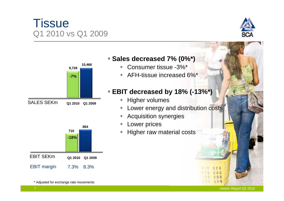#### Interim Report Q1 2010

## **Tissue** Q1 2010 vs Q1 2009

**-7%**

**9,728**

**10,466**

**Q1 2010 Q1 2009**



#### EBIT margin 7.3% 8.3% **-18%864 710**EBIT SEKm**Q1 2010 Q1 2009**

\* Adjusted for exchange rate movements

SALES SEKm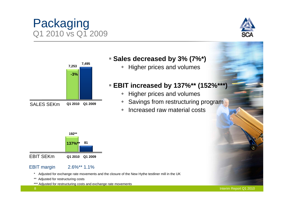#### \* Adjusted for exchange rate movements and the closure of the New Hythe testliner mill in the UK

EBIT SEKm

EBIT margin

- \*\* Adjusted for restructuring costs
- \*\*\* Adjusted for restructuring costs and exchange rate movements

2.6%\*\* 1.1%

**Q1 2010 Q1 2009**

**81**

**137%\*\***

**192\*\***

#### **Sales decreased by 3% (7%\*)**

• Higher prices and volumes

#### **EBIT increased by 137%\*\* (152%\*\*\*)**

- Higher prices and volumes
- ٠ Savings from restructuring program
- ٠ Increased raw material costs







Packaging

Q1 2010 vs Q1 2009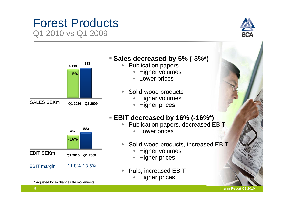### Forest Products Q1 2010 vs Q1 2009





#### **Sales decreased by 5% (-3%\*)**

- $\blacklozenge$  Publication papers
	- Higher volumes
	- Lower prices
- $\blacklozenge$  Solid-wood products
	- Higher volumes
	- Higher prices

#### **EBIT decreased by 16% (-16%\*)**

- ◆ Publication papers, decreased EBIT
	- Lower prices
- $\ddot{\bullet}$  Solid-wood products, increased EBIT
	- Higher volumes
	- $\bullet$ Higher prices
- $\ddot{\bullet}$  Pulp, increased EBIT
	- •Higher prices



**583**

Interim Report Q1 2010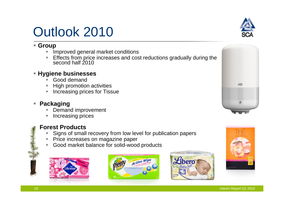# Outlook 2010

#### **Group**

- ٠ Improved general market conditions
- ٠ Effects from price increases and cost reductions gradually during the second half 2010

#### **Hygiene businesses**

- ٠ Good demand
- ٠ High promotion activities
- ٠ Increasing prices for Tissue

#### **Packaging**

- ٠ Demand improvement
- ٠ Increasing prices



#### **Forest Products**

- Signs of small recovery from low level for publication papers
- Price increases on magazine paper
- ٠ Good market balance for solid-wood products











п